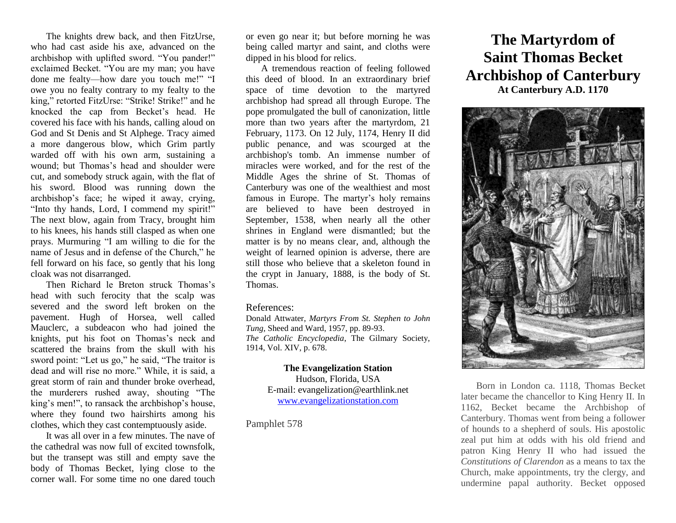The knights drew back, and then FitzUrse, who had cast aside his axe, advanced on the archbishop with uplifted sword. "You pander!" exclaimed Becket. "You are my man; you have done me fealty—how dare you touch me!" "I owe you no fealty contrary to my fealty to the king," retorted FitzUrse: "Strike! Strike!" and he knocked the cap from Becket's head. He covered his face with his hands, calling aloud on God and St Denis and St Alphege. Tracy aimed a more dangerous blow, which Grim partly warded off with his own arm, sustaining a wound; but Thomas's head and shoulder were cut, and somebody struck again, with the flat of his sword. Blood was running down the archbishop's face; he wiped it away, crying, "Into thy hands, Lord, I commend my spirit!" The next blow, again from Tracy, brought him to his knees, his hands still clasped as when one prays. Murmuring "I am willing to die for the name of Jesus and in defense of the Church," he fell forward on his face, so gently that his long cloak was not disarranged.

Then Richard le Breton struck Thomas's head with such ferocity that the scalp was severed and the sword left broken on the pavement. Hugh of Horsea, well called Mauclerc, a subdeacon who had joined the knights, put his foot on Thomas's neck and scattered the brains from the skull with his sword point: "Let us go," he said, "The traitor is dead and will rise no more." While, it is said, a great storm of rain and thunder broke overhead, the murderers rushed away, shouting "The king's men!", to ransack the archbishop's house, where they found two hairshirts among his clothes, which they cast contemptuously aside.

It was all over in a few minutes. The nave of the cathedral was now full of excited townsfolk, but the transept was still and empty save the body of Thomas Becket, lying close to the corner wall. For some time no one dared touch

or even go near it; but before morning he was being called martyr and saint, and cloths were dipped in his blood for relics.

A tremendous reaction of feeling followed this deed of blood. In an extraordinary brief space of time devotion to the martyred archbishop had spread all through Europe. The pope promulgated the bull of canonization, little more than two years after the martyrdom, 21 February, 1173. On 12 July, 1174, Henry II did public penance, and was scourged at the archbishop's tomb. An immense number of miracles were worked, and for the rest of the Middle Ages the shrine of St. Thomas of Canterbury was one of the wealthiest and most famous in Europe. The martyr's holy remains are believed to have been destroyed in September, 1538, when nearly all the other shrines in England were dismantled; but the matter is by no means clear, and, although the weight of learned opinion is adverse, there are still those who believe that a skeleton found in the crypt in January, 1888, is the body of St. Thomas.

## References:

Donald Attwater, *Martyrs From St. Stephen to John Tung,* Sheed and Ward, 1957, pp. 89-93. *The Catholic Encyclopedia*, The Gilmary Society, 1914, Vol. XIV, p. 678.

## **The Evangelization Station**

Hudson, Florida, USA E-mail: evangelization@earthlink.net [www.evangelizationstation.com](http://www.pjpiisoe.org/)

Pamphlet 578

## **The Martyrdom of Saint Thomas Becket Archbishop of Canterbury At Canterbury A.D. 1170**



Born in London ca. 1118, Thomas Becket later became the chancellor to King Henry II. In 1162, Becket became the Archbishop of Canterbury. Thomas went from being a follower of hounds to a shepherd of souls. His apostolic zeal put him at odds with his old friend and patron King Henry II who had issued the *Constitutions of Clarendon* as a means to tax the Church, make appointments, try the clergy, and undermine papal authority. Becket opposed